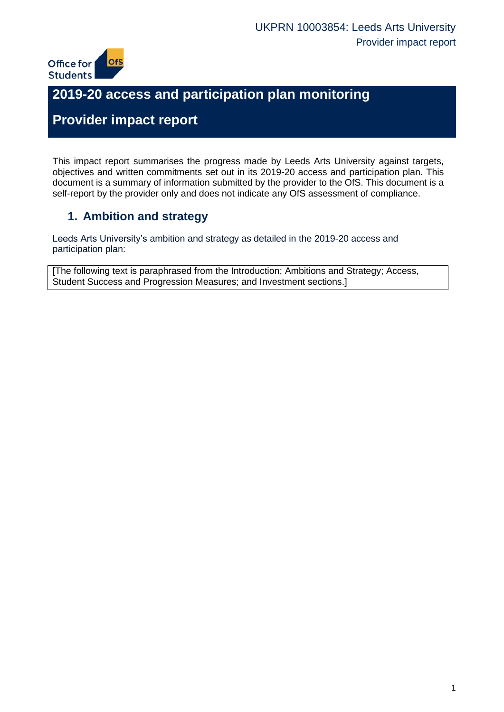

# **2019-20 access and participation plan monitoring**

# **Provider impact report**

This impact report summarises the progress made by Leeds Arts University against targets, objectives and written commitments set out in its 2019-20 access and participation plan. This document is a summary of information submitted by the provider to the OfS. This document is a self-report by the provider only and does not indicate any OfS assessment of compliance.

## **1. Ambition and strategy**

Leeds Arts University's ambition and strategy as detailed in the 2019-20 access and participation plan:

[The following text is paraphrased from the Introduction; Ambitions and Strategy; Access, Student Success and Progression Measures; and Investment sections.]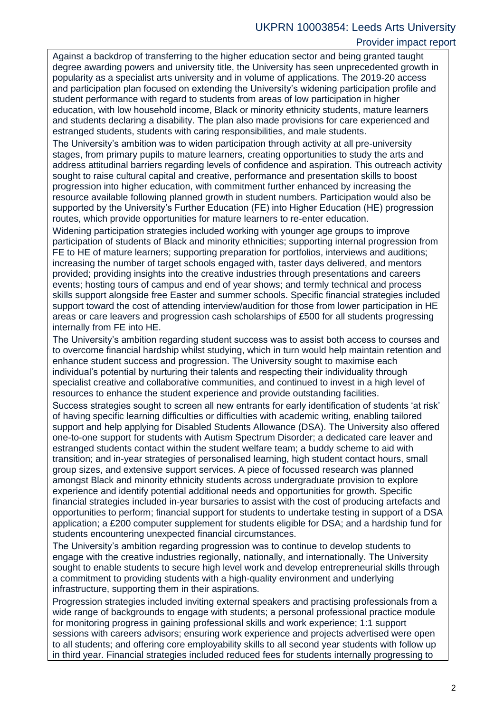### Provider impact report

Against a backdrop of transferring to the higher education sector and being granted taught degree awarding powers and university title, the University has seen unprecedented growth in popularity as a specialist arts university and in volume of applications. The 2019-20 access and participation plan focused on extending the University's widening participation profile and student performance with regard to students from areas of low participation in higher education, with low household income, Black or minority ethnicity students, mature learners and students declaring a disability. The plan also made provisions for care experienced and estranged students, students with caring responsibilities, and male students.

The University's ambition was to widen participation through activity at all pre-university stages, from primary pupils to mature learners, creating opportunities to study the arts and address attitudinal barriers regarding levels of confidence and aspiration. This outreach activity sought to raise cultural capital and creative, performance and presentation skills to boost progression into higher education, with commitment further enhanced by increasing the resource available following planned growth in student numbers. Participation would also be supported by the University's Further Education (FE) into Higher Education (HE) progression routes, which provide opportunities for mature learners to re-enter education.

Widening participation strategies included working with younger age groups to improve participation of students of Black and minority ethnicities; supporting internal progression from FE to HE of mature learners; supporting preparation for portfolios, interviews and auditions; increasing the number of target schools engaged with, taster days delivered, and mentors provided; providing insights into the creative industries through presentations and careers events; hosting tours of campus and end of year shows; and termly technical and process skills support alongside free Easter and summer schools. Specific financial strategies included support toward the cost of attending interview/audition for those from lower participation in HE areas or care leavers and progression cash scholarships of £500 for all students progressing internally from FE into HE.

The University's ambition regarding student success was to assist both access to courses and to overcome financial hardship whilst studying, which in turn would help maintain retention and enhance student success and progression. The University sought to maximise each individual's potential by nurturing their talents and respecting their individuality through specialist creative and collaborative communities, and continued to invest in a high level of resources to enhance the student experience and provide outstanding facilities.

Success strategies sought to screen all new entrants for early identification of students 'at risk' of having specific learning difficulties or difficulties with academic writing, enabling tailored support and help applying for Disabled Students Allowance (DSA). The University also offered one-to-one support for students with Autism Spectrum Disorder; a dedicated care leaver and estranged students contact within the student welfare team; a buddy scheme to aid with transition; and in-year strategies of personalised learning, high student contact hours, small group sizes, and extensive support services. A piece of focussed research was planned amongst Black and minority ethnicity students across undergraduate provision to explore experience and identify potential additional needs and opportunities for growth. Specific financial strategies included in-year bursaries to assist with the cost of producing artefacts and opportunities to perform; financial support for students to undertake testing in support of a DSA application; a £200 computer supplement for students eligible for DSA; and a hardship fund for students encountering unexpected financial circumstances.

The University's ambition regarding progression was to continue to develop students to engage with the creative industries regionally, nationally, and internationally. The University sought to enable students to secure high level work and develop entrepreneurial skills through a commitment to providing students with a high-quality environment and underlying infrastructure, supporting them in their aspirations.

Progression strategies included inviting external speakers and practising professionals from a wide range of backgrounds to engage with students; a personal professional practice module for monitoring progress in gaining professional skills and work experience; 1:1 support sessions with careers advisors; ensuring work experience and projects advertised were open to all students; and offering core employability skills to all second year students with follow up in third year. Financial strategies included reduced fees for students internally progressing to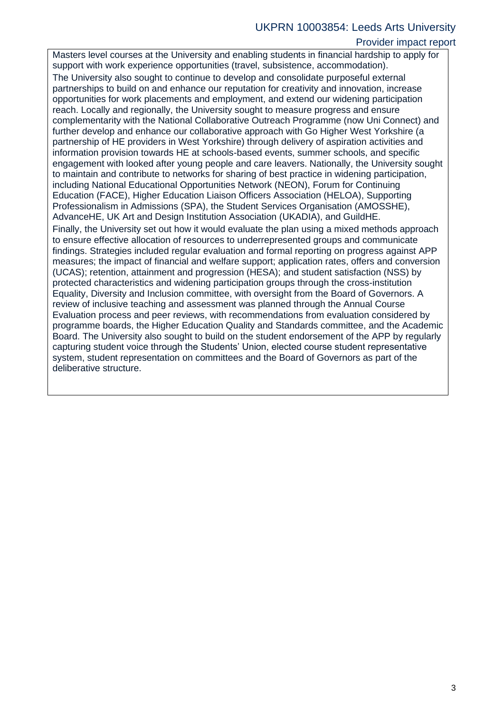### UKPRN 10003854: Leeds Arts University

### Provider impact report

Masters level courses at the University and enabling students in financial hardship to apply for support with work experience opportunities (travel, subsistence, accommodation).

The University also sought to continue to develop and consolidate purposeful external partnerships to build on and enhance our reputation for creativity and innovation, increase opportunities for work placements and employment, and extend our widening participation reach. Locally and regionally, the University sought to measure progress and ensure complementarity with the National Collaborative Outreach Programme (now Uni Connect) and further develop and enhance our collaborative approach with Go Higher West Yorkshire (a partnership of HE providers in West Yorkshire) through delivery of aspiration activities and information provision towards HE at schools-based events, summer schools, and specific engagement with looked after young people and care leavers. Nationally, the University sought to maintain and contribute to networks for sharing of best practice in widening participation, including National Educational Opportunities Network (NEON), Forum for Continuing Education (FACE), Higher Education Liaison Officers Association (HELOA), Supporting Professionalism in Admissions (SPA), the Student Services Organisation (AMOSSHE), AdvanceHE, UK Art and Design Institution Association (UKADIA), and GuildHE.

Finally, the University set out how it would evaluate the plan using a mixed methods approach to ensure effective allocation of resources to underrepresented groups and communicate findings. Strategies included regular evaluation and formal reporting on progress against APP measures; the impact of financial and welfare support; application rates, offers and conversion (UCAS); retention, attainment and progression (HESA); and student satisfaction (NSS) by protected characteristics and widening participation groups through the cross-institution Equality, Diversity and Inclusion committee, with oversight from the Board of Governors. A review of inclusive teaching and assessment was planned through the Annual Course Evaluation process and peer reviews, with recommendations from evaluation considered by programme boards, the Higher Education Quality and Standards committee, and the Academic Board. The University also sought to build on the student endorsement of the APP by regularly capturing student voice through the Students' Union, elected course student representative system, student representation on committees and the Board of Governors as part of the deliberative structure.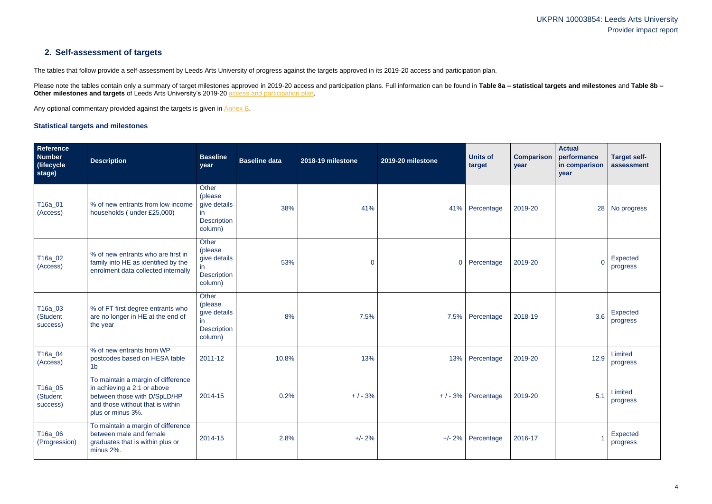### UKPRN 10003854: Leeds Arts University Provider impact report

### **2. Self-assessment of targets**

The tables that follow provide a self-assessment by Leeds Arts University of progress against the targets approved in its 2019-20 access and participation plan.

Please note the tables contain only a summary of target milestones approved in 2019-20 access and participation plans. Full information can be found in Table 8a - statistical targets and milestones and Table 8b -**Other milestones and targets** of Leeds Arts University's 2019-20 [access and participation plan.](https://www.officeforstudents.org.uk/advice-and-guidance/the-register/search-for-access-and-participation-plans/#/AccessPlans/)

Any optional commentary provided against the targets is given in [Annex B.](#page-11-0)

### <span id="page-3-0"></span>**Statistical targets and milestones**

| Reference<br><b>Number</b><br>(lifecycle)<br>stage) | <b>Description</b>                                                                                                                                         | <b>Baseline</b><br>year                                                        | <b>Baseline data</b> | 2018-19 milestone | 2019-20 milestone | <b>Units of</b><br>target | <b>Comparison</b><br>year | <b>Actual</b><br>performance<br>in comparison<br>year | <b>Target self-</b><br>assessment |
|-----------------------------------------------------|------------------------------------------------------------------------------------------------------------------------------------------------------------|--------------------------------------------------------------------------------|----------------------|-------------------|-------------------|---------------------------|---------------------------|-------------------------------------------------------|-----------------------------------|
| T16a_01<br>(Access)                                 | % of new entrants from low income<br>households (under £25,000)                                                                                            | <b>Other</b><br>(please<br>give details<br>in<br><b>Description</b><br>column) | 38%                  | 41%               |                   | 41% Percentage            | 2019-20                   | 28                                                    | No progress                       |
| T16a_02<br>(Access)                                 | % of new entrants who are first in<br>family into HE as identified by the<br>enrolment data collected internally                                           | Other<br>(please<br>give details<br>in.<br><b>Description</b><br>column)       | 53%                  | 0                 | $\overline{0}$    | Percentage                | 2019-20                   | $\Omega$                                              | Expected<br>progress              |
| T16a_03<br>(Student<br>success)                     | % of FT first degree entrants who<br>are no longer in HE at the end of<br>the year                                                                         | Other<br>(please<br>give details<br>in<br><b>Description</b><br>column)        | 8%                   | 7.5%              | 7.5%              | Percentage                | 2018-19                   | 3.6                                                   | Expected<br>progress              |
| T16a_04<br>(Access)                                 | % of new entrants from WP<br>postcodes based on HESA table<br>1 <sub>b</sub>                                                                               | 2011-12                                                                        | 10.8%                | 13%               | 13%               | Percentage                | 2019-20                   | 12.9                                                  | Limited<br>progress               |
| T16a_05<br>(Student<br>success)                     | To maintain a margin of difference<br>in achieving a 2:1 or above<br>between those with D/SpLD/HP<br>and those without that is within<br>plus or minus 3%. | 2014-15                                                                        | 0.2%                 | $+/-3%$           |                   | $+$ / - 3% Percentage     | 2019-20                   | 5.1                                                   | Limited<br>progress               |
| T16a_06<br>(Progression)                            | To maintain a margin of difference<br>between male and female<br>graduates that is within plus or<br>minus 2%.                                             | 2014-15                                                                        | 2.8%                 | $+/- 2%$          |                   | $+/- 2\%$ Percentage      | 2016-17                   |                                                       | Expected<br>progress              |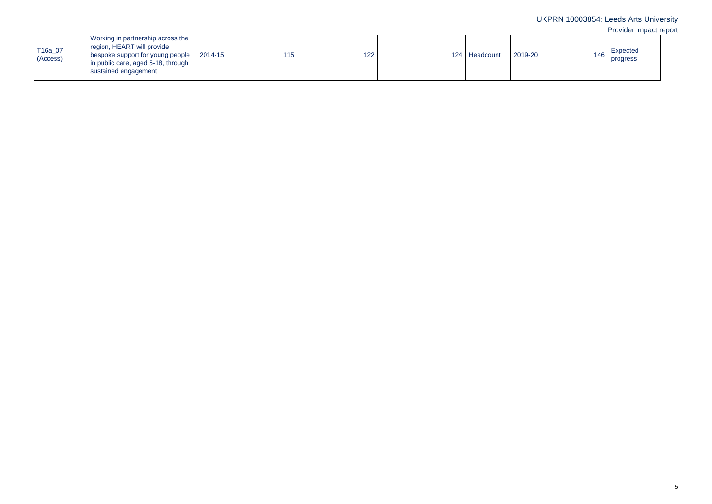|                     |                                                                                                                                                                   |         |     |     |                 |         |       | UKPRN 10003854: Leeds Arts University<br>Provider impact report |  |
|---------------------|-------------------------------------------------------------------------------------------------------------------------------------------------------------------|---------|-----|-----|-----------------|---------|-------|-----------------------------------------------------------------|--|
| T16a_07<br>(Access) | Working in partnership across the<br>region, HEART will provide<br>bespoke support for young people<br>in public care, aged 5-18, through<br>sustained engagement | 2014-15 | 115 | 122 | 124   Headcount | 2019-20 | 146 I | Expected<br>progress                                            |  |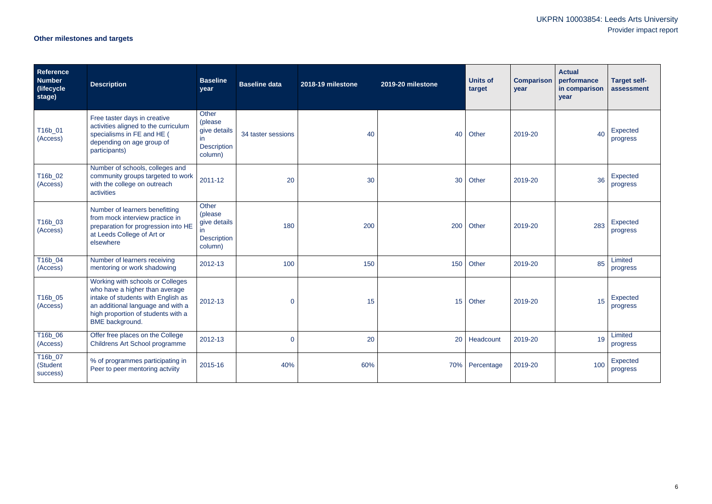# UKPRN 10003854: Leeds Arts University Provider impact report

# **Other milestones and targets**

| Reference<br><b>Number</b><br>(lifecycle<br>stage) | <b>Description</b>                                                                                                                                                                                            | <b>Baseline</b><br>year                                                           | <b>Baseline data</b> | 2018-19 milestone | 2019-20 milestone | <b>Units of</b><br>target | <b>Comparison</b><br>year | <b>Actual</b><br>performance<br>in comparison<br>year | <b>Target self-</b><br>assessment |
|----------------------------------------------------|---------------------------------------------------------------------------------------------------------------------------------------------------------------------------------------------------------------|-----------------------------------------------------------------------------------|----------------------|-------------------|-------------------|---------------------------|---------------------------|-------------------------------------------------------|-----------------------------------|
| T16b_01<br>(Access)                                | Free taster days in creative<br>activities aligned to the curriculum<br>specialisms in FE and HE (<br>depending on age group of<br>participants)                                                              | Other<br>(please<br>give details<br>$\mathsf{I}$<br><b>Description</b><br>column) | 34 taster sessions   | 40                | 40                | Other                     | 2019-20                   | 40                                                    | Expected<br>progress              |
| T16b_02<br>(Access)                                | Number of schools, colleges and<br>community groups targeted to work<br>with the college on outreach<br>activities                                                                                            | 2011-12                                                                           | 20                   | 30                | 30                | Other                     | 2019-20                   | 36                                                    | Expected<br>progress              |
| T16b_03<br>(Access)                                | Number of learners benefitting<br>from mock interview practice in<br>preparation for progression into HE<br>at Leeds College of Art or<br>elsewhere                                                           | Other<br>(please<br>give details<br>in.<br><b>Description</b><br>column)          | 180                  | 200               | 200               | Other                     | 2019-20                   | 283                                                   | Expected<br>progress              |
| T16b_04<br>(Access)                                | Number of learners receiving<br>mentoring or work shadowing                                                                                                                                                   | 2012-13                                                                           | 100                  | 150               | 150               | Other                     | 2019-20                   | 85                                                    | Limited<br>progress               |
| T16b_05<br>(Access)                                | Working with schools or Colleges<br>who have a higher than average<br>intake of students with English as<br>an additional language and with a<br>high proportion of students with a<br><b>BME</b> background. | 2012-13                                                                           | $\overline{0}$       | 15                | 15 <sup>15</sup>  | Other                     | 2019-20                   | 15                                                    | Expected<br>progress              |
| T16b_06<br>(Access)                                | Offer free places on the College<br>Childrens Art School programme                                                                                                                                            | 2012-13                                                                           | $\overline{0}$       | 20                |                   | 20 Headcount              | 2019-20                   | 19                                                    | Limited<br>progress               |
| T16b_07<br>(Student<br>success)                    | % of programmes participating in<br>Peer to peer mentoring actviity                                                                                                                                           | 2015-16                                                                           | 40%                  | 60%               |                   | 70% Percentage            | 2019-20                   | 100                                                   | Expected<br>progress              |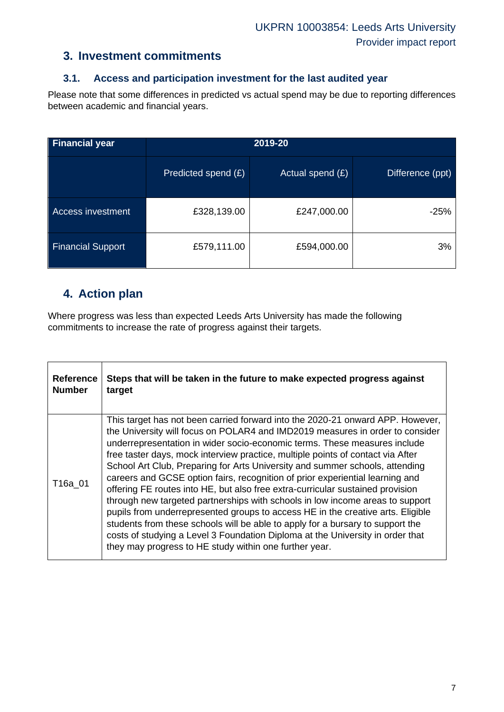### **3. Investment commitments**

### **3.1. Access and participation investment for the last audited year**

Please note that some differences in predicted vs actual spend may be due to reporting differences between academic and financial years.

| <b>Financial year</b>    |                     |                    |                  |
|--------------------------|---------------------|--------------------|------------------|
|                          | Predicted spend (£) | Actual spend $(E)$ | Difference (ppt) |
| Access investment        | £328,139.00         | £247,000.00        | $-25%$           |
| <b>Financial Support</b> | £579,111.00         | £594,000.00        | 3%               |

### **4. Action plan**

Where progress was less than expected Leeds Arts University has made the following commitments to increase the rate of progress against their targets.

| <b>Reference</b> | Steps that will be taken in the future to make expected progress against                                                                                                                                                                                                                                                                                                                                                                                                                                                                                                                                                                                                                                                                                                                                                                                                                                                                                                             |
|------------------|--------------------------------------------------------------------------------------------------------------------------------------------------------------------------------------------------------------------------------------------------------------------------------------------------------------------------------------------------------------------------------------------------------------------------------------------------------------------------------------------------------------------------------------------------------------------------------------------------------------------------------------------------------------------------------------------------------------------------------------------------------------------------------------------------------------------------------------------------------------------------------------------------------------------------------------------------------------------------------------|
| <b>Number</b>    | target                                                                                                                                                                                                                                                                                                                                                                                                                                                                                                                                                                                                                                                                                                                                                                                                                                                                                                                                                                               |
| T16a 01          | This target has not been carried forward into the 2020-21 onward APP. However,<br>the University will focus on POLAR4 and IMD2019 measures in order to consider<br>underrepresentation in wider socio-economic terms. These measures include<br>free taster days, mock interview practice, multiple points of contact via After<br>School Art Club, Preparing for Arts University and summer schools, attending<br>careers and GCSE option fairs, recognition of prior experiential learning and<br>offering FE routes into HE, but also free extra-curricular sustained provision<br>through new targeted partnerships with schools in low income areas to support<br>pupils from underrepresented groups to access HE in the creative arts. Eligible<br>students from these schools will be able to apply for a bursary to support the<br>costs of studying a Level 3 Foundation Diploma at the University in order that<br>they may progress to HE study within one further year. |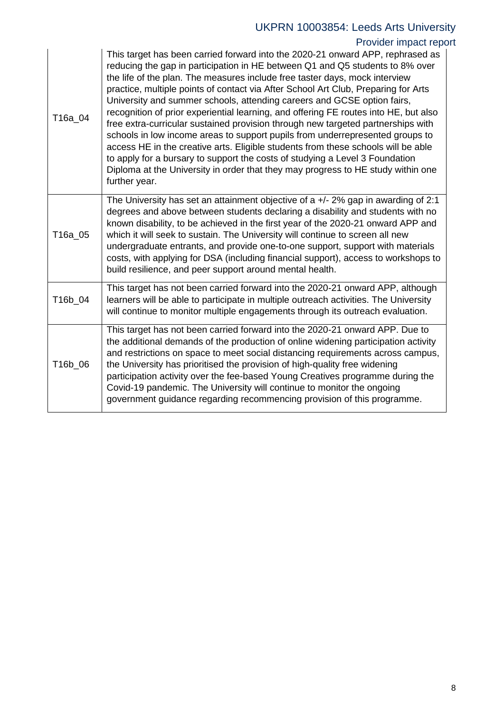# UKPRN 10003854: Leeds Arts University

### Provider impact report

| T16a_04 | This target has been carried forward into the 2020-21 onward APP, rephrased as<br>reducing the gap in participation in HE between Q1 and Q5 students to 8% over<br>the life of the plan. The measures include free taster days, mock interview<br>practice, multiple points of contact via After School Art Club, Preparing for Arts<br>University and summer schools, attending careers and GCSE option fairs,<br>recognition of prior experiential learning, and offering FE routes into HE, but also<br>free extra-curricular sustained provision through new targeted partnerships with<br>schools in low income areas to support pupils from underrepresented groups to<br>access HE in the creative arts. Eligible students from these schools will be able<br>to apply for a bursary to support the costs of studying a Level 3 Foundation<br>Diploma at the University in order that they may progress to HE study within one<br>further year. |
|---------|--------------------------------------------------------------------------------------------------------------------------------------------------------------------------------------------------------------------------------------------------------------------------------------------------------------------------------------------------------------------------------------------------------------------------------------------------------------------------------------------------------------------------------------------------------------------------------------------------------------------------------------------------------------------------------------------------------------------------------------------------------------------------------------------------------------------------------------------------------------------------------------------------------------------------------------------------------|
| T16a_05 | The University has set an attainment objective of a $+/- 2\%$ gap in awarding of 2:1<br>degrees and above between students declaring a disability and students with no<br>known disability, to be achieved in the first year of the 2020-21 onward APP and<br>which it will seek to sustain. The University will continue to screen all new<br>undergraduate entrants, and provide one-to-one support, support with materials<br>costs, with applying for DSA (including financial support), access to workshops to<br>build resilience, and peer support around mental health.                                                                                                                                                                                                                                                                                                                                                                        |
| T16b_04 | This target has not been carried forward into the 2020-21 onward APP, although<br>learners will be able to participate in multiple outreach activities. The University<br>will continue to monitor multiple engagements through its outreach evaluation.                                                                                                                                                                                                                                                                                                                                                                                                                                                                                                                                                                                                                                                                                               |
| T16b_06 | This target has not been carried forward into the 2020-21 onward APP. Due to<br>the additional demands of the production of online widening participation activity<br>and restrictions on space to meet social distancing requirements across campus,<br>the University has prioritised the provision of high-quality free widening<br>participation activity over the fee-based Young Creatives programme during the<br>Covid-19 pandemic. The University will continue to monitor the ongoing<br>government guidance regarding recommencing provision of this programme.                                                                                                                                                                                                                                                                                                                                                                             |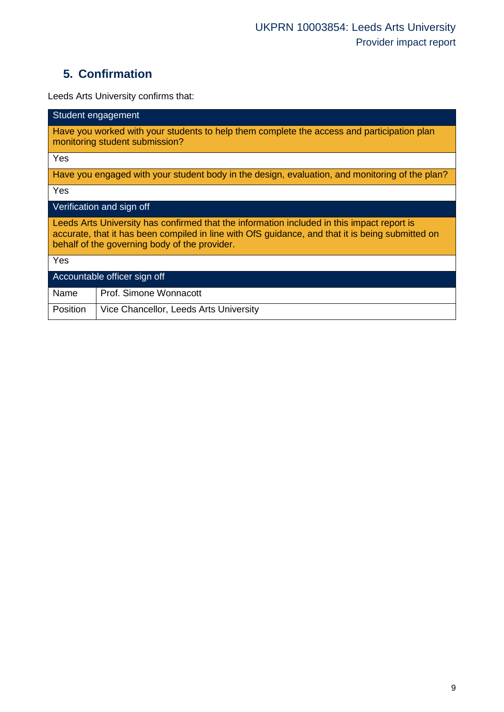# **5. Confirmation**

Leeds Arts University confirms that:

| Student engagement                                                                                                                                                                                                                              |  |  |  |  |
|-------------------------------------------------------------------------------------------------------------------------------------------------------------------------------------------------------------------------------------------------|--|--|--|--|
| Have you worked with your students to help them complete the access and participation plan<br>monitoring student submission?                                                                                                                    |  |  |  |  |
| Yes                                                                                                                                                                                                                                             |  |  |  |  |
| Have you engaged with your student body in the design, evaluation, and monitoring of the plan?                                                                                                                                                  |  |  |  |  |
| Yes                                                                                                                                                                                                                                             |  |  |  |  |
| Verification and sign off                                                                                                                                                                                                                       |  |  |  |  |
| Leeds Arts University has confirmed that the information included in this impact report is<br>accurate, that it has been compiled in line with OfS guidance, and that it is being submitted on<br>behalf of the governing body of the provider. |  |  |  |  |
| Yes                                                                                                                                                                                                                                             |  |  |  |  |
| Accountable officer sign off                                                                                                                                                                                                                    |  |  |  |  |
| Prof. Simone Wonnacott<br>Name                                                                                                                                                                                                                  |  |  |  |  |
| Position<br>Vice Chancellor, Leeds Arts University                                                                                                                                                                                              |  |  |  |  |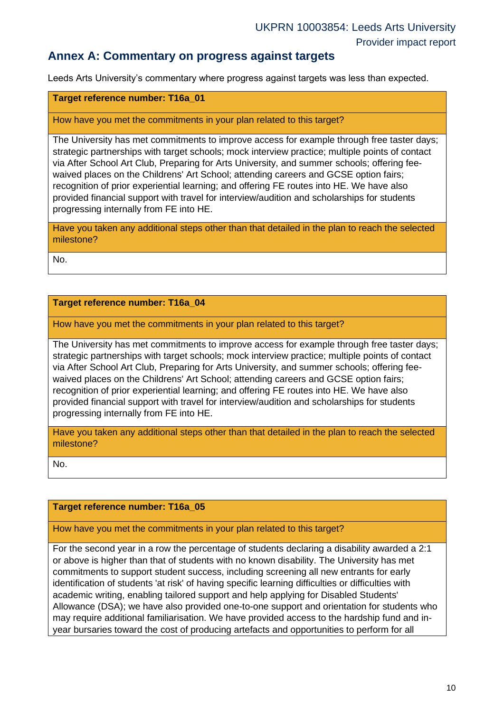### **Annex A: Commentary on progress against targets**

Leeds Arts University's commentary where progress against targets was less than expected.

### **Target reference number: T16a\_01**

#### How have you met the commitments in your plan related to this target?

The University has met commitments to improve access for example through free taster days; strategic partnerships with target schools; mock interview practice; multiple points of contact via After School Art Club, Preparing for Arts University, and summer schools; offering feewaived places on the Childrens' Art School; attending careers and GCSE option fairs; recognition of prior experiential learning; and offering FE routes into HE. We have also provided financial support with travel for interview/audition and scholarships for students progressing internally from FE into HE.

Have you taken any additional steps other than that detailed in the plan to reach the selected milestone?

No.

#### **Target reference number: T16a\_04**

How have you met the commitments in your plan related to this target?

The University has met commitments to improve access for example through free taster days; strategic partnerships with target schools; mock interview practice; multiple points of contact via After School Art Club, Preparing for Arts University, and summer schools; offering feewaived places on the Childrens' Art School; attending careers and GCSE option fairs; recognition of prior experiential learning; and offering FE routes into HE. We have also provided financial support with travel for interview/audition and scholarships for students progressing internally from FE into HE.

Have you taken any additional steps other than that detailed in the plan to reach the selected milestone?

No.

#### **Target reference number: T16a\_05**

#### How have you met the commitments in your plan related to this target?

For the second year in a row the percentage of students declaring a disability awarded a 2:1 or above is higher than that of students with no known disability. The University has met commitments to support student success, including screening all new entrants for early identification of students 'at risk' of having specific learning difficulties or difficulties with academic writing, enabling tailored support and help applying for Disabled Students' Allowance (DSA); we have also provided one-to-one support and orientation for students who may require additional familiarisation. We have provided access to the hardship fund and inyear bursaries toward the cost of producing artefacts and opportunities to perform for all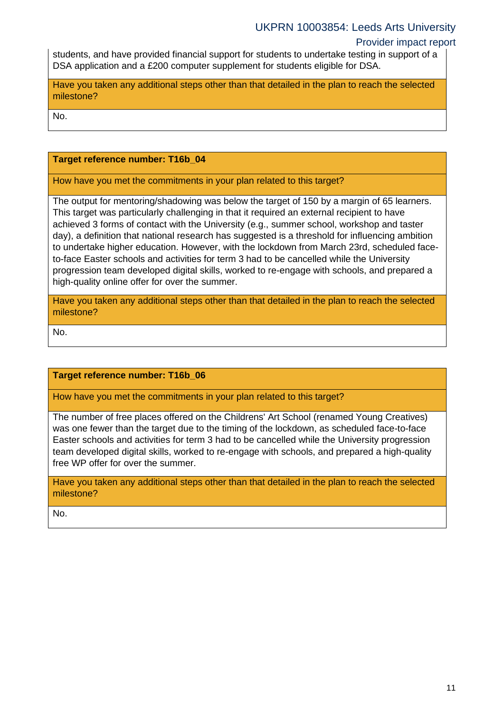### UKPRN 10003854: Leeds Arts University

### Provider impact report

students, and have provided financial support for students to undertake testing in support of a DSA application and a £200 computer supplement for students eligible for DSA.

Have you taken any additional steps other than that detailed in the plan to reach the selected milestone?

No.

### **Target reference number: T16b\_04**

#### How have you met the commitments in your plan related to this target?

The output for mentoring/shadowing was below the target of 150 by a margin of 65 learners. This target was particularly challenging in that it required an external recipient to have achieved 3 forms of contact with the University (e.g., summer school, workshop and taster day), a definition that national research has suggested is a threshold for influencing ambition to undertake higher education. However, with the lockdown from March 23rd, scheduled faceto-face Easter schools and activities for term 3 had to be cancelled while the University progression team developed digital skills, worked to re-engage with schools, and prepared a high-quality online offer for over the summer.

Have you taken any additional steps other than that detailed in the plan to reach the selected milestone?

No.

### **Target reference number: T16b\_06**

#### How have you met the commitments in your plan related to this target?

The number of free places offered on the Childrens' Art School (renamed Young Creatives) was one fewer than the target due to the timing of the lockdown, as scheduled face-to-face Easter schools and activities for term 3 had to be cancelled while the University progression team developed digital skills, worked to re-engage with schools, and prepared a high-quality free WP offer for over the summer.

Have you taken any additional steps other than that detailed in the plan to reach the selected milestone?

No.